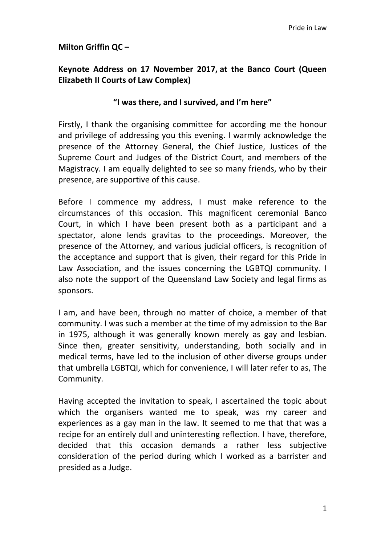## **Milton Griffin QC –**

## **Keynote Address on 17 November 2017, at the Banco Court (Queen Elizabeth II Courts of Law Complex)**

## **"I was there, and I survived, and I'm here"**

Firstly, I thank the organising committee for according me the honour and privilege of addressing you this evening. I warmly acknowledge the presence of the Attorney General, the Chief Justice, Justices of the Supreme Court and Judges of the District Court, and members of the Magistracy. I am equally delighted to see so many friends, who by their presence, are supportive of this cause.

Before I commence my address, I must make reference to the circumstances of this occasion. This magnificent ceremonial Banco Court, in which I have been present both as a participant and a spectator, alone lends gravitas to the proceedings. Moreover, the presence of the Attorney, and various judicial officers, is recognition of the acceptance and support that is given, their regard for this Pride in Law Association, and the issues concerning the LGBTQI community. I also note the support of the Queensland Law Society and legal firms as sponsors.

I am, and have been, through no matter of choice, a member of that community. I was such a member at the time of my admission to the Bar in 1975, although it was generally known merely as gay and lesbian. Since then, greater sensitivity, understanding, both socially and in medical terms, have led to the inclusion of other diverse groups under that umbrella LGBTQI, which for convenience, I will later refer to as, The Community.

Having accepted the invitation to speak, I ascertained the topic about which the organisers wanted me to speak, was my career and experiences as a gay man in the law. It seemed to me that that was a recipe for an entirely dull and uninteresting reflection. I have, therefore, decided that this occasion demands a rather less subjective consideration of the period during which I worked as a barrister and presided as a Judge.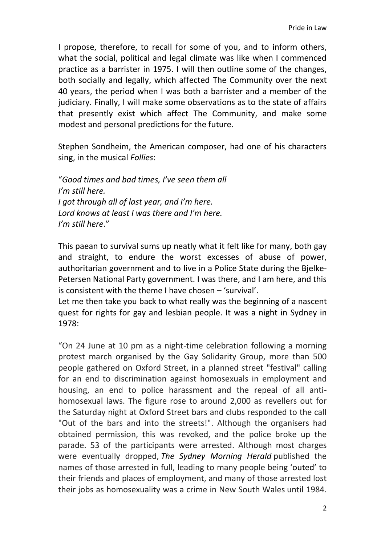I propose, therefore, to recall for some of you, and to inform others, what the social, political and legal climate was like when I commenced practice as a barrister in 1975. I will then outline some of the changes, both socially and legally, which affected The Community over the next 40 years, the period when I was both a barrister and a member of the judiciary. Finally, I will make some observations as to the state of affairs that presently exist which affect The Community, and make some modest and personal predictions for the future.

Stephen Sondheim, the American composer, had one of his characters sing, in the musical *Follies*:

"*Good times and bad times, I've seen them all I'm still here. I got through all of last year, and I'm here. Lord knows at least I was there and I'm here. I'm still here*."

This paean to survival sums up neatly what it felt like for many, both gay and straight, to endure the worst excesses of abuse of power, authoritarian government and to live in a Police State during the Bjelke-Petersen National Party government. I was there, and I am here, and this is consistent with the theme I have chosen – 'survival'.

Let me then take you back to what really was the beginning of a nascent quest for rights for gay and lesbian people. It was a night in Sydney in 1978:

"On 24 June at 10 pm as a night-time celebration following a morning protest march organised by the Gay Solidarity Group, more than 500 people gathered on Oxford Street, in a planned street "festival" calling for an end to discrimination against homosexuals in employment and housing, an end to police harassment and the repeal of all antihomosexual laws. The figure rose to around 2,000 as revellers out for the Saturday night at Oxford Street bars and clubs responded to the call "Out of the bars and into the streets!". Although the organisers had obtained permission, this was revoked, and the police broke up the parade. 53 of the participants were arrested. Although most charges were eventually dropped, *The Sydney Morning Herald* published the names of those arrested in full, leading to many people being 'outed' to their friends and places of employment, and many of those arrested lost their jobs as homosexuality was a crime in New South Wales until 1984.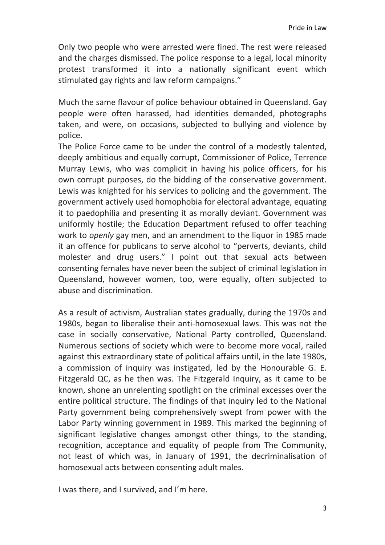Only two people who were arrested were fined. The rest were released and the charges dismissed. The police response to a legal, local minority protest transformed it into a nationally significant event which stimulated gay rights and law reform campaigns."

Much the same flavour of police behaviour obtained in Queensland. Gay people were often harassed, had identities demanded, photographs taken, and were, on occasions, subjected to bullying and violence by police.

The Police Force came to be under the control of a modestly talented, deeply ambitious and equally corrupt, Commissioner of Police, Terrence Murray Lewis, who was complicit in having his police officers, for his own corrupt purposes, do the bidding of the conservative government. Lewis was knighted for his services to policing and the government. The government actively used homophobia for electoral advantage, equating it to paedophilia and presenting it as morally deviant. Government was uniformly hostile; the Education Department refused to offer teaching work to *openly* gay men, and an amendment to the liquor in 1985 made it an offence for publicans to serve alcohol to "perverts, deviants, child molester and drug users." I point out that sexual acts between consenting females have never been the subject of criminal legislation in Queensland, however women, too, were equally, often subjected to abuse and discrimination.

As a result of activism, Australian states gradually, during the 1970s and 1980s, began to liberalise their anti-homosexual laws. This was not the case in socially conservative, National Party controlled, Queensland. Numerous sections of society which were to become more vocal, railed against this extraordinary state of political affairs until, in the late 1980s, a commission of inquiry was instigated, led by the Honourable G. E. Fitzgerald QC, as he then was. The Fitzgerald Inquiry, as it came to be known, shone an unrelenting spotlight on the criminal excesses over the entire political structure. The findings of that inquiry led to the National Party government being comprehensively swept from power with the Labor Party winning government in 1989. This marked the beginning of significant legislative changes amongst other things, to the standing, recognition, acceptance and equality of people from The Community, not least of which was, in January of 1991, the decriminalisation of homosexual acts between consenting adult males.

I was there, and I survived, and I'm here.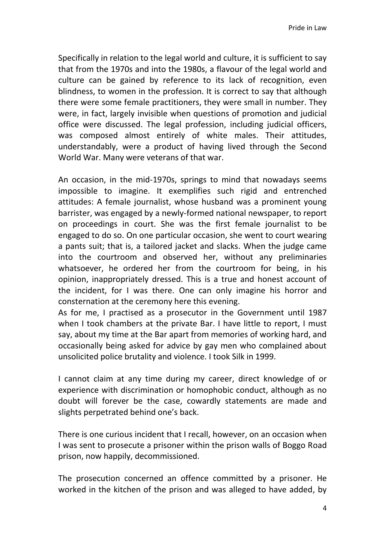Specifically in relation to the legal world and culture, it is sufficient to say that from the 1970s and into the 1980s, a flavour of the legal world and culture can be gained by reference to its lack of recognition, even blindness, to women in the profession. It is correct to say that although there were some female practitioners, they were small in number. They were, in fact, largely invisible when questions of promotion and judicial office were discussed. The legal profession, including judicial officers, was composed almost entirely of white males. Their attitudes, understandably, were a product of having lived through the Second World War. Many were veterans of that war.

An occasion, in the mid-1970s, springs to mind that nowadays seems impossible to imagine. It exemplifies such rigid and entrenched attitudes: A female journalist, whose husband was a prominent young barrister, was engaged by a newly-formed national newspaper, to report on proceedings in court. She was the first female journalist to be engaged to do so. On one particular occasion, she went to court wearing a pants suit; that is, a tailored jacket and slacks. When the judge came into the courtroom and observed her, without any preliminaries whatsoever, he ordered her from the courtroom for being, in his opinion, inappropriately dressed. This is a true and honest account of the incident, for I was there. One can only imagine his horror and consternation at the ceremony here this evening.

As for me, I practised as a prosecutor in the Government until 1987 when I took chambers at the private Bar. I have little to report, I must say, about my time at the Bar apart from memories of working hard, and occasionally being asked for advice by gay men who complained about unsolicited police brutality and violence. I took Silk in 1999.

I cannot claim at any time during my career, direct knowledge of or experience with discrimination or homophobic conduct, although as no doubt will forever be the case, cowardly statements are made and slights perpetrated behind one's back.

There is one curious incident that I recall, however, on an occasion when I was sent to prosecute a prisoner within the prison walls of Boggo Road prison, now happily, decommissioned.

The prosecution concerned an offence committed by a prisoner. He worked in the kitchen of the prison and was alleged to have added, by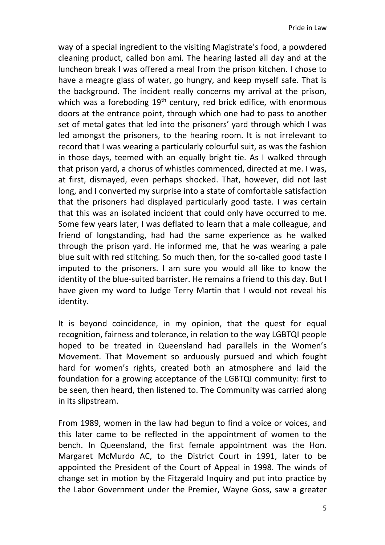way of a special ingredient to the visiting Magistrate's food, a powdered cleaning product, called bon ami. The hearing lasted all day and at the luncheon break I was offered a meal from the prison kitchen. I chose to have a meagre glass of water, go hungry, and keep myself safe. That is the background. The incident really concerns my arrival at the prison, which was a foreboding  $19<sup>th</sup>$  century, red brick edifice, with enormous doors at the entrance point, through which one had to pass to another set of metal gates that led into the prisoners' yard through which I was led amongst the prisoners, to the hearing room. It is not irrelevant to record that I was wearing a particularly colourful suit, as was the fashion in those days, teemed with an equally bright tie. As I walked through that prison yard, a chorus of whistles commenced, directed at me. I was, at first, dismayed, even perhaps shocked. That, however, did not last long, and I converted my surprise into a state of comfortable satisfaction that the prisoners had displayed particularly good taste. I was certain that this was an isolated incident that could only have occurred to me. Some few years later, I was deflated to learn that a male colleague, and friend of longstanding, had had the same experience as he walked through the prison yard. He informed me, that he was wearing a pale blue suit with red stitching. So much then, for the so-called good taste I imputed to the prisoners. I am sure you would all like to know the identity of the blue-suited barrister. He remains a friend to this day. But I have given my word to Judge Terry Martin that I would not reveal his identity.

It is beyond coincidence, in my opinion, that the quest for equal recognition, fairness and tolerance, in relation to the way LGBTQI people hoped to be treated in Queensland had parallels in the Women's Movement. That Movement so arduously pursued and which fought hard for women's rights, created both an atmosphere and laid the foundation for a growing acceptance of the LGBTQI community: first to be seen, then heard, then listened to. The Community was carried along in its slipstream.

From 1989, women in the law had begun to find a voice or voices, and this later came to be reflected in the appointment of women to the bench. In Queensland, the first female appointment was the Hon. Margaret McMurdo AC, to the District Court in 1991, later to be appointed the President of the Court of Appeal in 1998. The winds of change set in motion by the Fitzgerald Inquiry and put into practice by the Labor Government under the Premier, Wayne Goss, saw a greater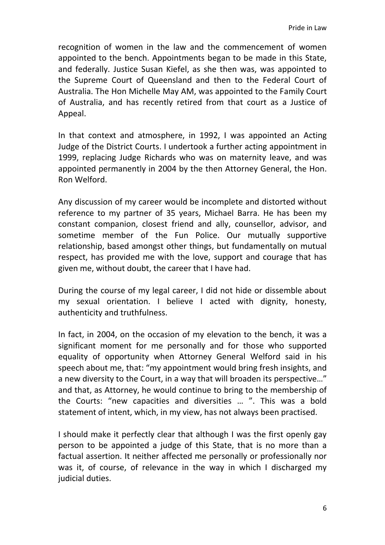recognition of women in the law and the commencement of women appointed to the bench. Appointments began to be made in this State, and federally. Justice Susan Kiefel, as she then was, was appointed to the Supreme Court of Queensland and then to the Federal Court of Australia. The Hon Michelle May AM, was appointed to the Family Court of Australia, and has recently retired from that court as a Justice of Appeal.

In that context and atmosphere, in 1992, I was appointed an Acting Judge of the District Courts. I undertook a further acting appointment in 1999, replacing Judge Richards who was on maternity leave, and was appointed permanently in 2004 by the then Attorney General, the Hon. Ron Welford.

Any discussion of my career would be incomplete and distorted without reference to my partner of 35 years, Michael Barra. He has been my constant companion, closest friend and ally, counsellor, advisor, and sometime member of the Fun Police. Our mutually supportive relationship, based amongst other things, but fundamentally on mutual respect, has provided me with the love, support and courage that has given me, without doubt, the career that I have had.

During the course of my legal career, I did not hide or dissemble about my sexual orientation. I believe I acted with dignity, honesty, authenticity and truthfulness.

In fact, in 2004, on the occasion of my elevation to the bench, it was a significant moment for me personally and for those who supported equality of opportunity when Attorney General Welford said in his speech about me, that: "my appointment would bring fresh insights, and a new diversity to the Court, in a way that will broaden its perspective…" and that, as Attorney, he would continue to bring to the membership of the Courts: "new capacities and diversities … ". This was a bold statement of intent, which, in my view, has not always been practised.

I should make it perfectly clear that although I was the first openly gay person to be appointed a judge of this State, that is no more than a factual assertion. It neither affected me personally or professionally nor was it, of course, of relevance in the way in which I discharged my judicial duties.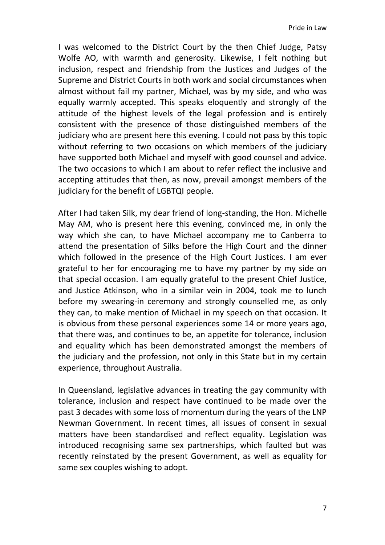I was welcomed to the District Court by the then Chief Judge, Patsy Wolfe AO, with warmth and generosity. Likewise, I felt nothing but inclusion, respect and friendship from the Justices and Judges of the Supreme and District Courts in both work and social circumstances when almost without fail my partner, Michael, was by my side, and who was equally warmly accepted. This speaks eloquently and strongly of the attitude of the highest levels of the legal profession and is entirely consistent with the presence of those distinguished members of the judiciary who are present here this evening. I could not pass by this topic without referring to two occasions on which members of the judiciary have supported both Michael and myself with good counsel and advice. The two occasions to which I am about to refer reflect the inclusive and accepting attitudes that then, as now, prevail amongst members of the judiciary for the benefit of LGBTQI people.

After I had taken Silk, my dear friend of long-standing, the Hon. Michelle May AM, who is present here this evening, convinced me, in only the way which she can, to have Michael accompany me to Canberra to attend the presentation of Silks before the High Court and the dinner which followed in the presence of the High Court Justices. I am ever grateful to her for encouraging me to have my partner by my side on that special occasion. I am equally grateful to the present Chief Justice, and Justice Atkinson, who in a similar vein in 2004, took me to lunch before my swearing-in ceremony and strongly counselled me, as only they can, to make mention of Michael in my speech on that occasion. It is obvious from these personal experiences some 14 or more years ago, that there was, and continues to be, an appetite for tolerance, inclusion and equality which has been demonstrated amongst the members of the judiciary and the profession, not only in this State but in my certain experience, throughout Australia.

In Queensland, legislative advances in treating the gay community with tolerance, inclusion and respect have continued to be made over the past 3 decades with some loss of momentum during the years of the LNP Newman Government. In recent times, all issues of consent in sexual matters have been standardised and reflect equality. Legislation was introduced recognising same sex partnerships, which faulted but was recently reinstated by the present Government, as well as equality for same sex couples wishing to adopt.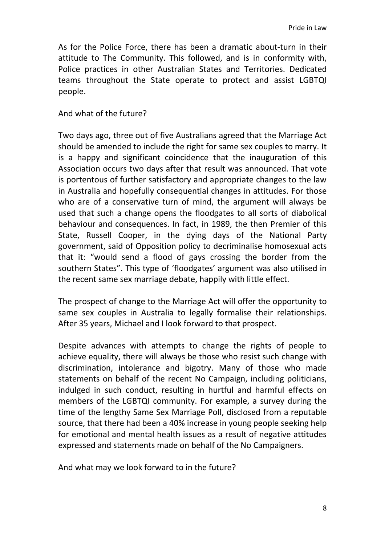As for the Police Force, there has been a dramatic about-turn in their attitude to The Community. This followed, and is in conformity with, Police practices in other Australian States and Territories. Dedicated teams throughout the State operate to protect and assist LGBTQI people.

## And what of the future?

Two days ago, three out of five Australians agreed that the Marriage Act should be amended to include the right for same sex couples to marry. It is a happy and significant coincidence that the inauguration of this Association occurs two days after that result was announced. That vote is portentous of further satisfactory and appropriate changes to the law in Australia and hopefully consequential changes in attitudes. For those who are of a conservative turn of mind, the argument will always be used that such a change opens the floodgates to all sorts of diabolical behaviour and consequences. In fact, in 1989, the then Premier of this State, Russell Cooper, in the dying days of the National Party government, said of Opposition policy to decriminalise homosexual acts that it: "would send a flood of gays crossing the border from the southern States". This type of 'floodgates' argument was also utilised in the recent same sex marriage debate, happily with little effect.

The prospect of change to the Marriage Act will offer the opportunity to same sex couples in Australia to legally formalise their relationships. After 35 years, Michael and I look forward to that prospect.

Despite advances with attempts to change the rights of people to achieve equality, there will always be those who resist such change with discrimination, intolerance and bigotry. Many of those who made statements on behalf of the recent No Campaign, including politicians, indulged in such conduct, resulting in hurtful and harmful effects on members of the LGBTQI community. For example, a survey during the time of the lengthy Same Sex Marriage Poll, disclosed from a reputable source, that there had been a 40% increase in young people seeking help for emotional and mental health issues as a result of negative attitudes expressed and statements made on behalf of the No Campaigners.

And what may we look forward to in the future?